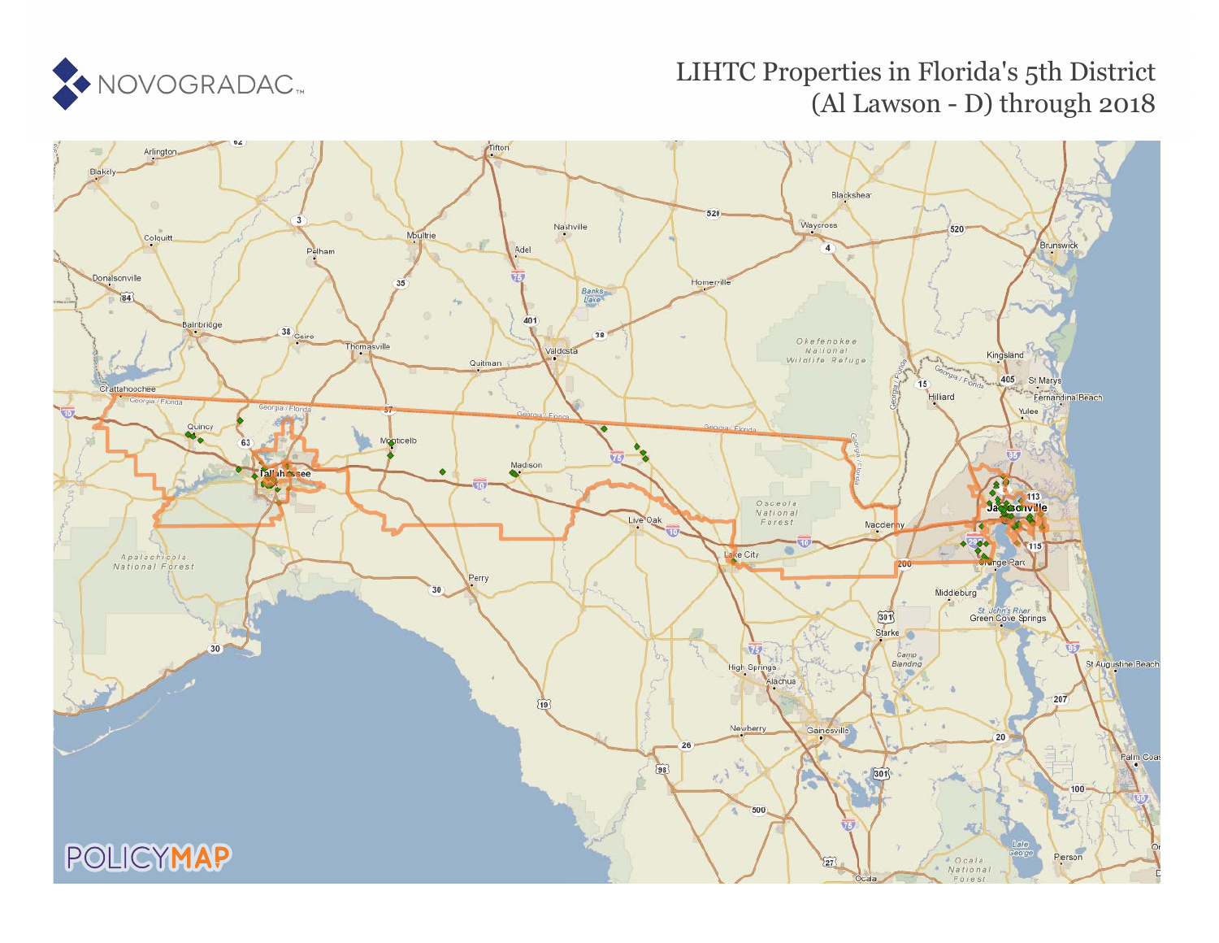

# LIHTC Properties in Florida's 5th District (Al Lawson - D) through 2018

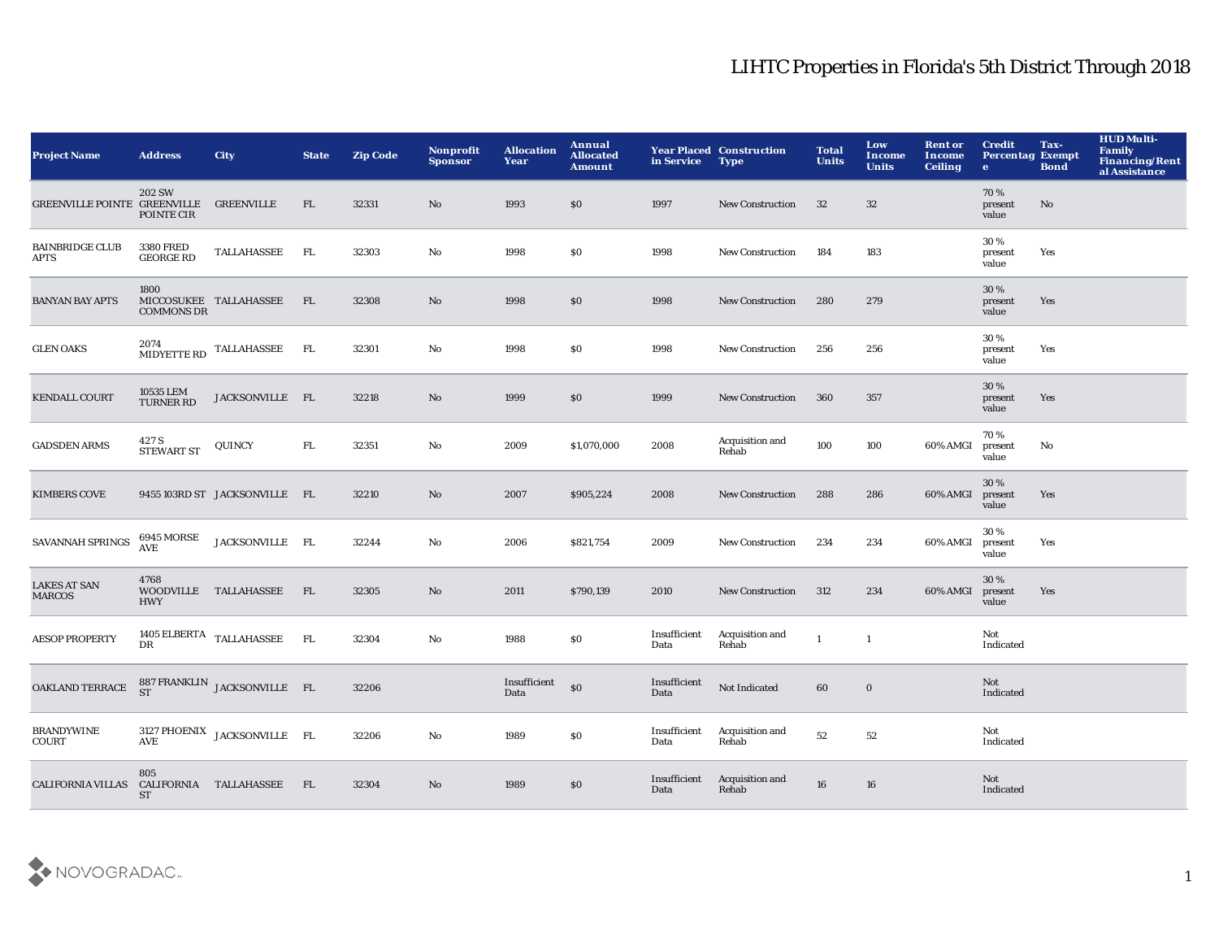| <b>Project Name</b>                   | <b>Address</b>                                        | City                                                                       | <b>State</b> | <b>Zip Code</b> | Nonprofit<br><b>Sponsor</b> | <b>Allocation</b><br>Year | Annual<br><b>Allocated</b><br><b>Amount</b> | in Service           | <b>Year Placed Construction</b><br><b>Type</b> | <b>Total</b><br><b>Units</b> | Low<br><b>Income</b><br><b>Units</b> | <b>Rent or</b><br>Income<br><b>Ceiling</b> | <b>Credit</b><br><b>Percentag Exempt</b><br>$\bullet$ | Tax-<br><b>Bond</b> | <b>HUD Multi-</b><br><b>Family</b><br><b>Financing/Rent</b><br>al Assistance |
|---------------------------------------|-------------------------------------------------------|----------------------------------------------------------------------------|--------------|-----------------|-----------------------------|---------------------------|---------------------------------------------|----------------------|------------------------------------------------|------------------------------|--------------------------------------|--------------------------------------------|-------------------------------------------------------|---------------------|------------------------------------------------------------------------------|
| GREENVILLE POINTE GREENVILLE          | <b>202 SW</b><br>POINTE CIR                           | <b>GREENVILLE</b>                                                          | FL           | 32331           | No                          | 1993                      | \$0                                         | 1997                 | <b>New Construction</b>                        | 32                           | 32                                   |                                            | 70%<br>present<br>value                               | No                  |                                                                              |
| <b>BAINBRIDGE CLUB</b><br><b>APTS</b> | <b>3380 FRED</b><br><b>GEORGE RD</b>                  | TALLAHASSEE                                                                | FL           | 32303           | No                          | 1998                      | \$0                                         | 1998                 | New Construction                               | 184                          | 183                                  |                                            | 30%<br>present<br>value                               | Yes                 |                                                                              |
| <b>BANYAN BAY APTS</b>                | 1800<br><b>COMMONS DR</b>                             | MICCOSUKEE TALLAHASSEE                                                     | FL           | 32308           | $\rm No$                    | 1998                      | \$0                                         | 1998                 | <b>New Construction</b>                        | 280                          | 279                                  |                                            | 30%<br>present<br>value                               | Yes                 |                                                                              |
| <b>GLEN OAKS</b>                      | 2074                                                  | $\begin{tabular}{ll} \bf{MIDYETTE\,RD} & \text{TALLAHASSEE} \end{tabular}$ | <b>FL</b>    | 32301           | No                          | 1998                      | \$0                                         | 1998                 | New Construction                               | 256                          | 256                                  |                                            | 30%<br>present<br>value                               | Yes                 |                                                                              |
| <b>KENDALL COURT</b>                  | 10535 LEM<br><b>TURNER RD</b>                         | JACKSONVILLE FL                                                            |              | 32218           | $\mathbf{N}\mathbf{o}$      | 1999                      | \$0                                         | 1999                 | <b>New Construction</b>                        | 360                          | 357                                  |                                            | 30%<br>present<br>value                               | Yes                 |                                                                              |
| <b>GADSDEN ARMS</b>                   | $427\rm \, S$ STEWART ST                              | QUINCY                                                                     | ${\rm FL}$   | 32351           | $\mathbf{No}$               | 2009                      | \$1,070,000                                 | 2008                 | Acquisition and<br>Rehab                       | 100                          | 100                                  | 60% AMGI                                   | 70%<br>present<br>value                               | No                  |                                                                              |
| <b>KIMBERS COVE</b>                   |                                                       | 9455 103RD ST JACKSONVILLE FL                                              |              | 32210           | No                          | 2007                      | \$905,224                                   | 2008                 | New Construction                               | 288                          | 286                                  | 60% AMGI                                   | 30%<br>present<br>value                               | Yes                 |                                                                              |
| SAVANNAH SPRINGS                      | <b>6945 MORSE</b><br>$\mathbf{A}\mathbf{V}\mathbf{E}$ | JACKSONVILLE FL                                                            |              | 32244           | No                          | 2006                      | \$821,754                                   | 2009                 | <b>New Construction</b>                        | 234                          | 234                                  | 60% AMGI                                   | 30 %<br>present<br>value                              | Yes                 |                                                                              |
| <b>LAKES AT SAN</b><br><b>MARCOS</b>  | 4768<br>WOODVILLE<br><b>HWY</b>                       | TALLAHASSEE                                                                | FL           | 32305           | No                          | 2011                      | \$790,139                                   | 2010                 | <b>New Construction</b>                        | 312                          | 234                                  | 60% AMGI                                   | 30%<br>present<br>value                               | Yes                 |                                                                              |
| <b>AESOP PROPERTY</b>                 | <b>DR</b>                                             | 1405 ELBERTA $_{\rm TALLAHASSEE}$                                          | <b>FL</b>    | 32304           | $\rm No$                    | 1988                      | \$0                                         | Insufficient<br>Data | Acquisition and<br>Rehab                       | $\mathbf{1}$                 | $\mathbf{1}$                         |                                            | Not<br>Indicated                                      |                     |                                                                              |
| OAKLAND TERRACE                       | <b>ST</b>                                             | 887 FRANKLIN JACKSONVILLE FL                                               |              | 32206           |                             | Insufficient<br>Data      | \$0                                         | Insufficient<br>Data | Not Indicated                                  | 60                           | $\bf{0}$                             |                                            | Not<br>Indicated                                      |                     |                                                                              |
| <b>BRANDYWINE</b><br><b>COURT</b>     | <b>AVE</b>                                            | 3127 PHOENIX JACKSONVILLE FL                                               |              | 32206           | $\mathbf{No}$               | 1989                      | \$0                                         | Insufficient<br>Data | Acquisition and<br>Rehab                       | 52                           | 52                                   |                                            | Not<br>Indicated                                      |                     |                                                                              |
| <b>CALIFORNIA VILLAS</b>              | 805<br><b>ST</b>                                      | CALIFORNIA TALLAHASSEE                                                     | - FL         | 32304           | No                          | 1989                      | \$0                                         | Insufficient<br>Data | Acquisition and<br>Rehab                       | 16                           | 16                                   |                                            | Not<br>Indicated                                      |                     |                                                                              |

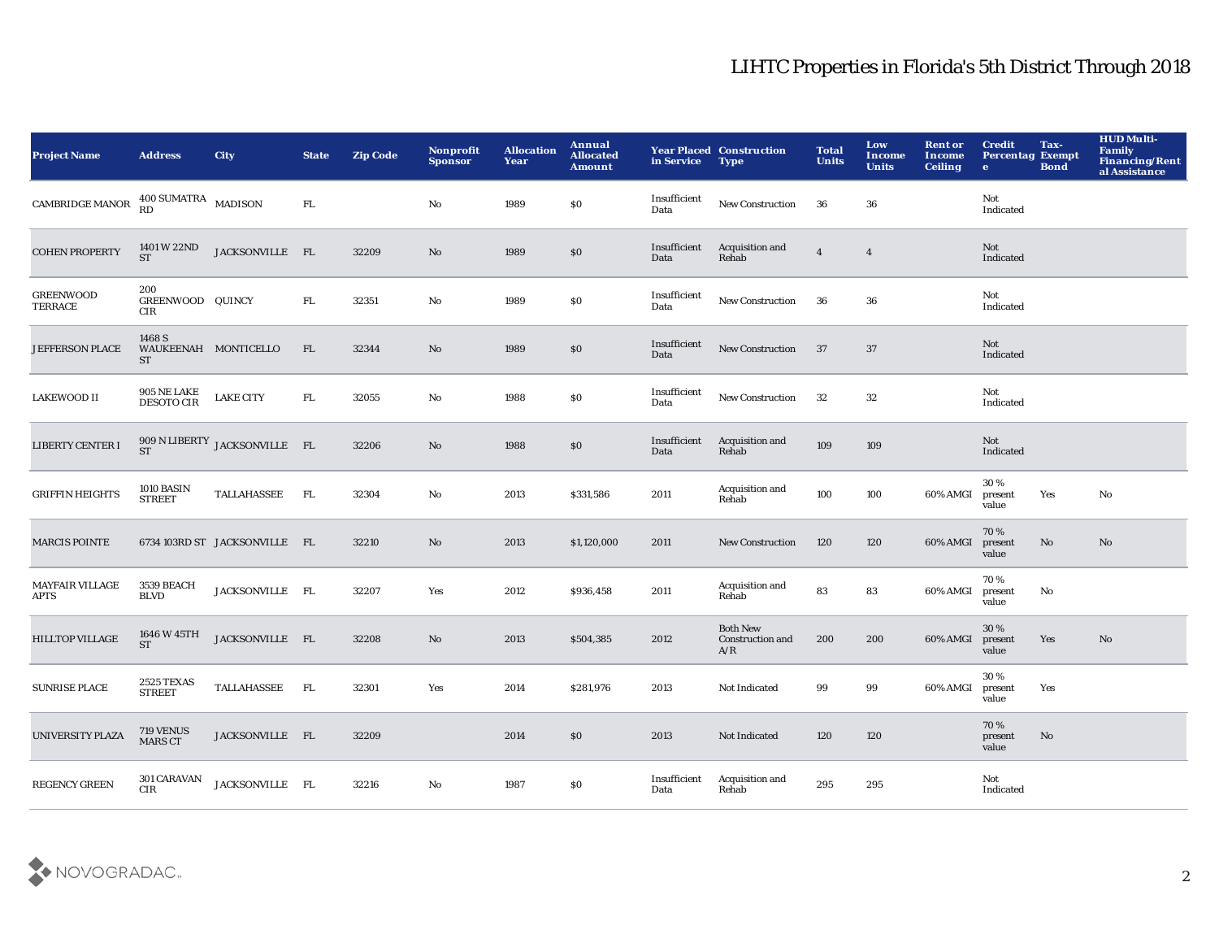| <b>Project Name</b>                   | <b>Address</b>                              | <b>City</b>                   | <b>State</b> | <b>Zip Code</b> | Nonprofit<br><b>Sponsor</b> | <b>Allocation</b><br>Year | Annual<br><b>Allocated</b><br><b>Amount</b> | in Service           | <b>Year Placed Construction</b><br><b>Type</b> | <b>Total</b><br><b>Units</b> | Low<br>Income<br><b>Units</b> | <b>Rent or</b><br>Income<br><b>Ceiling</b> | <b>Credit</b><br><b>Percentag Exempt</b><br>$\bullet$ | Tax-<br><b>Bond</b> | <b>HUD Multi-</b><br>Family<br><b>Financing/Rent</b><br>al Assistance |
|---------------------------------------|---------------------------------------------|-------------------------------|--------------|-----------------|-----------------------------|---------------------------|---------------------------------------------|----------------------|------------------------------------------------|------------------------------|-------------------------------|--------------------------------------------|-------------------------------------------------------|---------------------|-----------------------------------------------------------------------|
| $\mathop{\mathtt{CAMBRIDE}}$ MANOR    | 400 SUMATRA MADISON                         |                               | FL.          |                 | $\mathbf{No}$               | 1989                      | $\$0$                                       | Insufficient<br>Data | <b>New Construction</b>                        | 36                           | 36                            |                                            | Not<br>Indicated                                      |                     |                                                                       |
| <b>COHEN PROPERTY</b>                 | 1401 W 22ND<br><b>ST</b>                    | JACKSONVILLE FL               |              | 32209           | No                          | 1989                      | \$0                                         | Insufficient<br>Data | Acquisition and<br>Rehab                       | $\overline{4}$               | $\overline{4}$                |                                            | Not<br>Indicated                                      |                     |                                                                       |
| <b>GREENWOOD</b><br>TERRACE           | 200<br>GREENWOOD QUINCY<br>CIR              |                               | ${\rm FL}$   | 32351           | $\mathbf{No}$               | 1989                      | $\$0$                                       | Insufficient<br>Data | New Construction                               | 36                           | 36                            |                                            | Not<br>Indicated                                      |                     |                                                                       |
| <b>JEFFERSON PLACE</b>                | 1468 S<br>WAUKEENAH MONTICELLO<br><b>ST</b> |                               | FL.          | 32344           | $\mathbf{N}\mathbf{o}$      | 1989                      | $\$0$                                       | Insufficient<br>Data | New Construction                               | 37                           | $37\,$                        |                                            | Not<br>Indicated                                      |                     |                                                                       |
| LAKEWOOD II                           | <b>905 NE LAKE</b><br><b>DESOTO CIR</b>     | <b>LAKE CITY</b>              | FL.          | 32055           | No                          | 1988                      | \$0                                         | Insufficient<br>Data | New Construction                               | 32                           | 32                            |                                            | Not<br>Indicated                                      |                     |                                                                       |
| LIBERTY CENTER I                      | <b>ST</b>                                   | 909 N LIBERTY JACKSONVILLE FL |              | 32206           | $\mathbf{N}\mathbf{o}$      | 1988                      | \$0                                         | Insufficient<br>Data | Acquisition and<br>Rehab                       | 109                          | 109                           |                                            | Not<br>Indicated                                      |                     |                                                                       |
| <b>GRIFFIN HEIGHTS</b>                | 1010 BASIN<br><b>STREET</b>                 | TALLAHASSEE                   | FL.          | 32304           | $\mathbf{No}$               | 2013                      | \$331,586                                   | 2011                 | Acquisition and<br>Rehab                       | 100                          | 100                           | 60% AMGI                                   | 30%<br>present<br>value                               | Yes                 | No                                                                    |
| <b>MARCIS POINTE</b>                  |                                             | 6734 103RD ST JACKSONVILLE FL |              | 32210           | No                          | 2013                      | \$1,120,000                                 | 2011                 | New Construction                               | 120                          | 120                           | 60% AMGI                                   | 70%<br>present<br>value                               | No                  | No                                                                    |
| <b>MAYFAIR VILLAGE</b><br><b>APTS</b> | <b>3539 BEACH</b><br><b>BLVD</b>            | JACKSONVILLE FL               |              | 32207           | Yes                         | 2012                      | \$936,458                                   | 2011                 | Acquisition and<br>Rehab                       | 83                           | 83                            | 60% AMGI                                   | 70%<br>present<br>value                               | No                  |                                                                       |
| <b>HILLTOP VILLAGE</b>                | 1646 W 45TH<br><b>ST</b>                    | JACKSONVILLE FL               |              | 32208           | No                          | 2013                      | \$504,385                                   | 2012                 | <b>Both New</b><br>Construction and<br>A/R     | 200                          | 200                           | 60% AMGI                                   | 30 %<br>present<br>value                              | Yes                 | No                                                                    |
| <b>SUNRISE PLACE</b>                  | 2525 TEXAS<br><b>STREET</b>                 | TALLAHASSEE                   | FL.          | 32301           | Yes                         | 2014                      | \$281,976                                   | 2013                 | Not Indicated                                  | 99                           | 99                            | 60% AMGI                                   | 30%<br>present<br>value                               | Yes                 |                                                                       |
| UNIVERSITY PLAZA                      | 719 VENUS<br>MARS CT                        | JACKSONVILLE FL               |              | 32209           |                             | 2014                      | \$0                                         | 2013                 | Not Indicated                                  | 120                          | 120                           |                                            | 70%<br>present<br>value                               | No                  |                                                                       |
| <b>REGENCY GREEN</b>                  | 301 CARAVAN<br><b>CIR</b>                   | JACKSONVILLE FL               |              | 32216           | No                          | 1987                      | \$0                                         | Insufficient<br>Data | Acquisition and<br>Rehab                       | 295                          | 295                           |                                            | Not<br>Indicated                                      |                     |                                                                       |

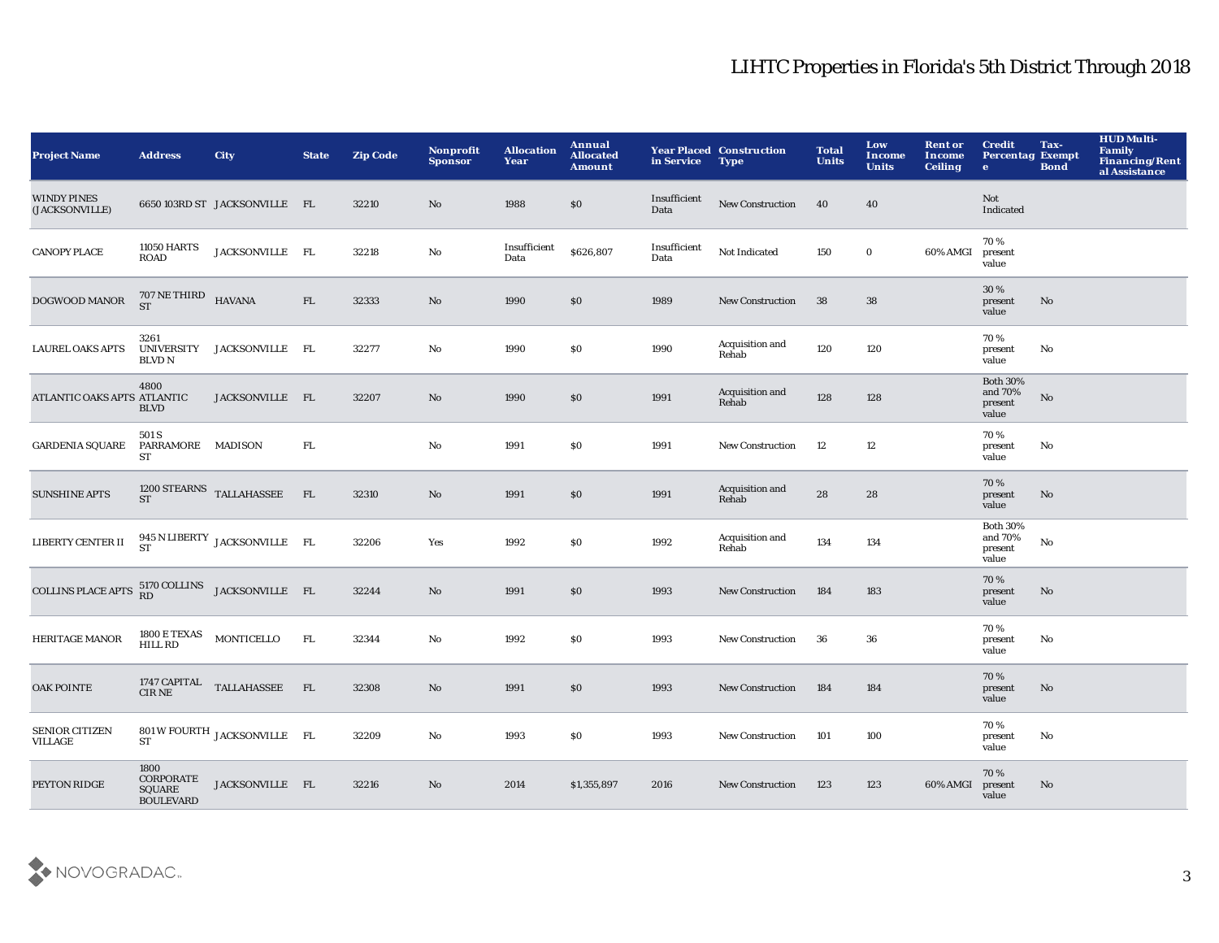| <b>Project Name</b>                     | <b>Address</b>                                                | <b>City</b>                             | <b>State</b> | <b>Zip Code</b> | Nonprofit<br><b>Sponsor</b> | <b>Allocation</b><br>Year | Annual<br><b>Allocated</b><br><b>Amount</b> | in Service           | <b>Year Placed Construction</b><br><b>Type</b> | <b>Total</b><br><b>Units</b> | Low<br>Income<br><b>Units</b> | <b>Rent or</b><br><b>Income</b><br><b>Ceiling</b> | <b>Credit</b><br><b>Percentag Exempt</b><br>$\bullet$ | Tax-<br><b>Bond</b>    | <b>HUD Multi-</b><br><b>Family</b><br><b>Financing/Rent</b><br>al Assistance |
|-----------------------------------------|---------------------------------------------------------------|-----------------------------------------|--------------|-----------------|-----------------------------|---------------------------|---------------------------------------------|----------------------|------------------------------------------------|------------------------------|-------------------------------|---------------------------------------------------|-------------------------------------------------------|------------------------|------------------------------------------------------------------------------|
| <b>WINDY PINES</b><br>(JACKSONVILLE)    |                                                               | 6650 103RD ST JACKSONVILLE FL           |              | 32210           | No                          | 1988                      | $\$0$                                       | Insufficient<br>Data | New Construction                               | 40                           | 40                            |                                                   | <b>Not</b><br>Indicated                               |                        |                                                                              |
| <b>CANOPY PLACE</b>                     | <b>11050 HARTS</b><br>ROAD                                    | JACKSONVILLE FL                         |              | 32218           | $\mathbf{N}\mathbf{o}$      | Insufficient<br>Data      | \$626,807                                   | Insufficient<br>Data | Not Indicated                                  | 150                          | $\mathbf 0$                   | 60% AMGI                                          | 70%<br>present<br>value                               |                        |                                                                              |
| DOGWOOD MANOR                           | $707\,\mathrm{NE\,THIRD}$ HAVANA ST                           |                                         | FL           | 32333           | No                          | 1990                      | \$0\$                                       | 1989                 | <b>New Construction</b>                        | 38                           | 38                            |                                                   | 30 %<br>present<br>value                              | No                     |                                                                              |
| <b>LAUREL OAKS APTS</b>                 | 3261<br><b>UNIVERSITY</b><br>BLVD N                           | JACKSONVILLE FL                         |              | 32277           | No                          | 1990                      | \$0\$                                       | 1990                 | Acquisition and<br>Rehab                       | 120                          | 120                           |                                                   | 70%<br>present<br>value                               | No                     |                                                                              |
| ATLANTIC OAKS APTS ATLANTIC             | 4800<br><b>BLVD</b>                                           | JACKSONVILLE FL                         |              | 32207           | No                          | 1990                      | $\$0$                                       | 1991                 | Acquisition and<br>Rehab                       | 128                          | 128                           |                                                   | <b>Both 30%</b><br>and 70%<br>present<br>value        | $\mathbf{N}\mathbf{o}$ |                                                                              |
| <b>GARDENIA SQUARE</b>                  | 501 S<br>PARRAMORE MADISON<br>ST                              |                                         | ${\rm FL}$   |                 | No                          | 1991                      | S <sub>0</sub>                              | 1991                 | <b>New Construction</b>                        | 12                           | 12                            |                                                   | 70%<br>present<br>value                               | No                     |                                                                              |
| <b>SUNSHINE APTS</b>                    | <b>ST</b>                                                     | 1200 STEARNS TALLAHASSEE                | FL           | 32310           | No                          | 1991                      | \$0\$                                       | 1991                 | Acquisition and<br>Rehab                       | ${\bf 28}$                   | 28                            |                                                   | 70%<br>present<br>value                               | No                     |                                                                              |
| LIBERTY CENTER II                       |                                                               | 945 N LIBERTY JACKSONVILLE FL<br>ST     |              | 32206           | Yes                         | 1992                      | $\$0$                                       | 1992                 | Acquisition and<br>Rehab                       | 134                          | 134                           |                                                   | <b>Both 30%</b><br>and 70%<br>present<br>value        | $\mathbf {No}$         |                                                                              |
| COLLINS PLACE APTS                      |                                                               | 5170 COLLINS JACKSONVILLE FL<br>RD      |              | 32244           | $\mathbf{N}\mathbf{o}$      | 1991                      | \$0\$                                       | 1993                 | <b>New Construction</b>                        | 184                          | 183                           |                                                   | 70%<br>present<br>value                               | No                     |                                                                              |
| <b>HERITAGE MANOR</b>                   | 1800 E TEXAS<br>HILL RD                                       | MONTICELLO                              | FL           | 32344           | No                          | 1992                      | S <sub>0</sub>                              | 1993                 | <b>New Construction</b>                        | 36                           | 36                            |                                                   | 70%<br>present<br>value                               | No                     |                                                                              |
| <b>OAK POINTE</b>                       |                                                               | 1747 CAPITAL $\quad$ TALLAHASSEE CIR NE | FL           | 32308           | No                          | 1991                      | $\$0$                                       | 1993                 | New Construction                               | 184                          | 184                           |                                                   | 70%<br>present<br>value                               | $\mathbf{No}$          |                                                                              |
| <b>SENIOR CITIZEN</b><br><b>VILLAGE</b> | <b>ST</b>                                                     | 801 W FOURTH JACKSONVILLE FL            |              | 32209           | $\mathbf{N}\mathbf{o}$      | 1993                      | \$0\$                                       | 1993                 | <b>New Construction</b>                        | 101                          | 100                           |                                                   | 70 %<br>present<br>value                              | No                     |                                                                              |
| PEYTON RIDGE                            | 1800<br><b>CORPORATE</b><br><b>SQUARE</b><br><b>BOULEVARD</b> | JACKSONVILLE FL                         |              | 32216           | No                          | 2014                      | \$1,355,897                                 | 2016                 | <b>New Construction</b>                        | 123                          | 123                           | 60% AMGI                                          | 70%<br>present<br>value                               | No                     |                                                                              |

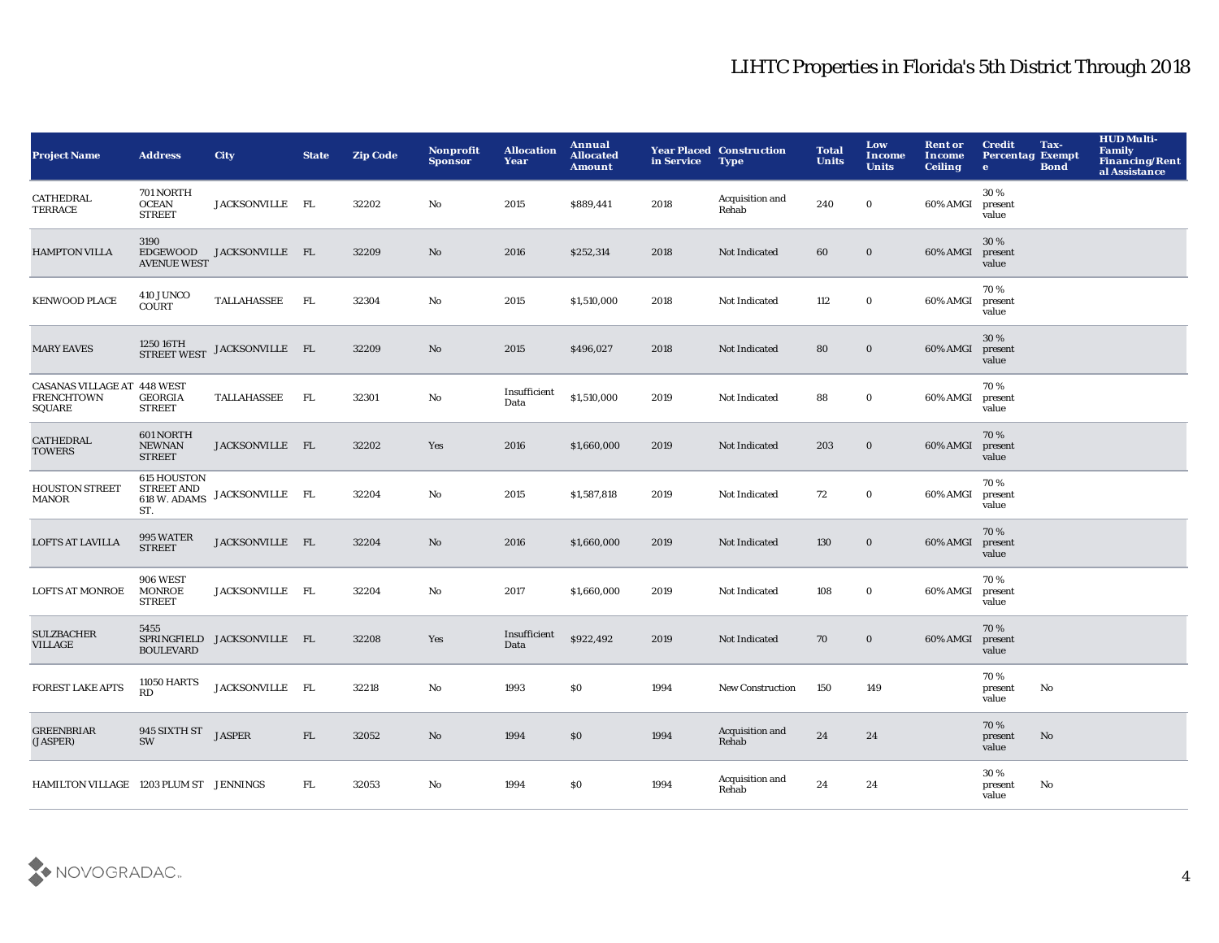| <b>Project Name</b>                                        | <b>Address</b>                                          | <b>City</b>                 | <b>State</b> | <b>Zip Code</b> | <b>Nonprofit</b><br><b>Sponsor</b> | <b>Allocation</b><br>Year | Annual<br><b>Allocated</b><br><b>Amount</b> | in Service | <b>Year Placed Construction</b><br><b>Type</b> | <b>Total</b><br><b>Units</b> | Low<br><b>Income</b><br><b>Units</b> | <b>Rent or</b><br>Income<br><b>Ceiling</b> | <b>Credit</b><br><b>Percentag Exempt</b><br>$\bullet$ | Tax-<br><b>Bond</b> | <b>HUD Multi-</b><br><b>Family</b><br><b>Financing/Rent</b><br>al Assistance |
|------------------------------------------------------------|---------------------------------------------------------|-----------------------------|--------------|-----------------|------------------------------------|---------------------------|---------------------------------------------|------------|------------------------------------------------|------------------------------|--------------------------------------|--------------------------------------------|-------------------------------------------------------|---------------------|------------------------------------------------------------------------------|
| <b>CATHEDRAL</b><br><b>TERRACE</b>                         | 701 NORTH<br><b>OCEAN</b><br><b>STREET</b>              | JACKSONVILLE FL             |              | 32202           | No                                 | 2015                      | \$889,441                                   | 2018       | Acquisition and<br>Rehab                       | 240                          | $\mathbf 0$                          | 60% AMGI                                   | 30%<br>present<br>value                               |                     |                                                                              |
| <b>HAMPTON VILLA</b>                                       | 3190<br>EDGEWOOD<br><b>AVENUE WEST</b>                  | JACKSONVILLE FL             |              | 32209           | $\rm No$                           | 2016                      | \$252,314                                   | 2018       | Not Indicated                                  | 60                           | $\bf{0}$                             | 60% AMGI                                   | 30%<br>present<br>value                               |                     |                                                                              |
| <b>KENWOOD PLACE</b>                                       | 410 JUNCO<br><b>COURT</b>                               | TALLAHASSEE                 | FL           | 32304           | No                                 | 2015                      | \$1,510,000                                 | 2018       | Not Indicated                                  | 112                          | $\mathbf 0$                          | 60% AMGI                                   | 70%<br>present<br>value                               |                     |                                                                              |
| <b>MARY EAVES</b>                                          | 1250 16TH<br><b>STREET WEST</b>                         | JACKSONVILLE FL             |              | 32209           | $\mathbf{No}$                      | 2015                      | \$496,027                                   | 2018       | Not Indicated                                  | 80                           | $\bf{0}$                             | 60% AMGI                                   | 30 %<br>present<br>value                              |                     |                                                                              |
| CASANAS VILLAGE AT 448 WEST<br><b>FRENCHTOWN</b><br>SQUARE | <b>GEORGIA</b><br><b>STREET</b>                         | TALLAHASSEE                 | FL           | 32301           | No                                 | Insufficient<br>Data      | \$1,510,000                                 | 2019       | Not Indicated                                  | 88                           | $\mathbf 0$                          | 60% AMGI                                   | 70%<br>present<br>value                               |                     |                                                                              |
| <b>CATHEDRAL</b><br><b>TOWERS</b>                          | 601 NORTH<br>NEWNAN<br><b>STREET</b>                    | JACKSONVILLE FL             |              | 32202           | Yes                                | 2016                      | \$1,660,000                                 | 2019       | Not Indicated                                  | 203                          | $\bf{0}$                             | 60% AMGI                                   | 70%<br>present<br>value                               |                     |                                                                              |
| <b>HOUSTON STREET</b><br><b>MANOR</b>                      | 615 HOUSTON<br><b>STREET AND</b><br>618 W. ADAMS<br>ST. | JACKSONVILLE FL             |              | 32204           | $\mathbf{No}$                      | 2015                      | \$1,587,818                                 | 2019       | Not Indicated                                  | 72                           | $\bf{0}$                             | 60% AMGI                                   | 70%<br>present<br>value                               |                     |                                                                              |
| LOFTS AT LAVILLA                                           | 995 WATER<br><b>STREET</b>                              | JACKSONVILLE FL             |              | 32204           | $\mathbf{No}$                      | 2016                      | \$1,660,000                                 | 2019       | Not Indicated                                  | 130                          | $\bf{0}$                             | 60% AMGI                                   | 70%<br>present<br>value                               |                     |                                                                              |
| <b>LOFTS AT MONROE</b>                                     | <b>906 WEST</b><br><b>MONROE</b><br><b>STREET</b>       | JACKSONVILLE FL             |              | 32204           | No                                 | 2017                      | \$1,660,000                                 | 2019       | Not Indicated                                  | 108                          | $\bf{0}$                             | 60% AMGI                                   | 70%<br>present<br>value                               |                     |                                                                              |
| <b>SULZBACHER</b><br><b>VILLAGE</b>                        | 5455<br><b>BOULEVARD</b>                                | SPRINGFIELD JACKSONVILLE FL |              | 32208           | Yes                                | Insufficient<br>Data      | \$922,492                                   | 2019       | Not Indicated                                  | 70                           | $\bf{0}$                             | 60% AMGI                                   | 70%<br>present<br>value                               |                     |                                                                              |
| <b>FOREST LAKE APTS</b>                                    | <b>11050 HARTS</b><br>RD                                | JACKSONVILLE FL             |              | 32218           | No                                 | 1993                      | <b>SO</b>                                   | 1994       | <b>New Construction</b>                        | 150                          | 149                                  |                                            | 70%<br>present<br>value                               | No                  |                                                                              |
| <b>GREENBRIAR</b><br>(JASPER)                              | 945 SIXTH ST<br>JASPER<br>SW                            |                             | FL           | 32052           | No                                 | 1994                      | \$0                                         | 1994       | Acquisition and<br>Rehab                       | 24                           | 24                                   |                                            | 70%<br>present<br>value                               | No                  |                                                                              |
| HAMILTON VILLAGE 1203 PLUM ST JENNINGS                     |                                                         |                             | FL.          | 32053           | No                                 | 1994                      | <b>SO</b>                                   | 1994       | Acquisition and<br>Rehab                       | 24                           | 24                                   |                                            | 30%<br>present<br>value                               | No                  |                                                                              |

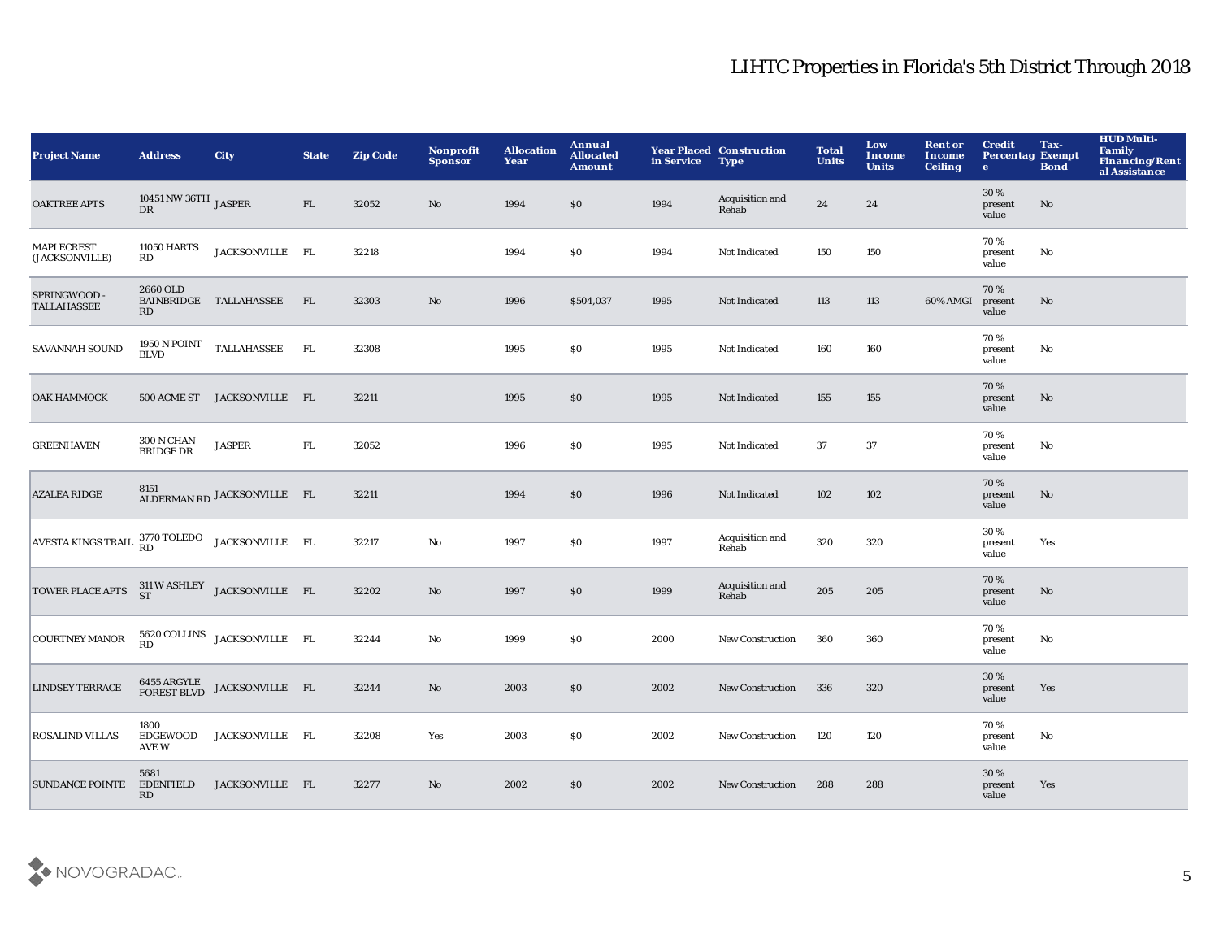| <b>Project Name</b>                                       | <b>Address</b>                             | <b>City</b>                                                                                                                                                                                                                                                                                                                                                                                                                       | <b>State</b> | <b>Zip Code</b> | Nonprofit<br><b>Sponsor</b> | <b>Allocation</b><br>Year | Annual<br><b>Allocated</b><br><b>Amount</b> | in Service | <b>Year Placed Construction</b><br><b>Type</b> | <b>Total</b><br><b>Units</b> | Low<br>Income<br><b>Units</b> | <b>Rent or</b><br>Income<br><b>Ceiling</b> | <b>Credit</b><br><b>Percentag Exempt</b><br>$\bullet$ | Tax-<br><b>Bond</b> | <b>HUD Multi-</b><br><b>Family</b><br><b>Financing/Rent</b><br>al Assistance |
|-----------------------------------------------------------|--------------------------------------------|-----------------------------------------------------------------------------------------------------------------------------------------------------------------------------------------------------------------------------------------------------------------------------------------------------------------------------------------------------------------------------------------------------------------------------------|--------------|-----------------|-----------------------------|---------------------------|---------------------------------------------|------------|------------------------------------------------|------------------------------|-------------------------------|--------------------------------------------|-------------------------------------------------------|---------------------|------------------------------------------------------------------------------|
| <b>OAKTREE APTS</b>                                       | 10451 NW 36TH $_{\rm JASPER}$<br><b>DR</b> |                                                                                                                                                                                                                                                                                                                                                                                                                                   | FL           | 32052           | No                          | 1994                      | \$0                                         | 1994       | Acquisition and<br>Rehab                       | 24                           | 24                            |                                            | 30%<br>present<br>value                               | No                  |                                                                              |
| MAPLECREST<br>(JACKSONVILLE)                              | <b>11050 HARTS</b><br>RD                   | JACKSONVILLE FL                                                                                                                                                                                                                                                                                                                                                                                                                   |              | 32218           |                             | 1994                      | \$0                                         | 1994       | Not Indicated                                  | 150                          | 150                           |                                            | 70%<br>present<br>value                               | No                  |                                                                              |
| SPRINGWOOD -<br><b>TALLAHASSEE</b>                        | 2660 OLD<br>RD                             | BAINBRIDGE TALLAHASSEE                                                                                                                                                                                                                                                                                                                                                                                                            | FL           | 32303           | $\mathbf{No}$               | 1996                      | \$504,037                                   | 1995       | Not Indicated                                  | 113                          | 113                           | 60% AMGI                                   | 70%<br>present<br>value                               | No                  |                                                                              |
| SAVANNAH SOUND                                            | <b>BLVD</b>                                | $\begin{tabular}{llll} \bf 1950\,N\,POINT & TALLAHASSEE & FL \\ \end{tabular}$                                                                                                                                                                                                                                                                                                                                                    |              | 32308           |                             | 1995                      | \$0                                         | 1995       | Not Indicated                                  | 160                          | 160                           |                                            | 70%<br>present<br>value                               | No                  |                                                                              |
| ОАК НАММОСК                                               |                                            | 500 ACME ST JACKSONVILLE FL                                                                                                                                                                                                                                                                                                                                                                                                       |              | 32211           |                             | 1995                      | $\$0$                                       | 1995       | Not Indicated                                  | 155                          | 155                           |                                            | 70%<br>present<br>value                               | No                  |                                                                              |
| <b>GREENHAVEN</b>                                         | <b>300 N CHAN</b><br><b>BRIDGE DR</b>      | <b>JASPER</b>                                                                                                                                                                                                                                                                                                                                                                                                                     | ${\rm FL}$   | 32052           |                             | 1996                      | \$0                                         | 1995       | Not Indicated                                  | 37                           | 37                            |                                            | 70%<br>present<br>value                               | No                  |                                                                              |
| <b>AZALEA RIDGE</b>                                       |                                            | ALDERMAN RD JACKSONVILLE FL                                                                                                                                                                                                                                                                                                                                                                                                       |              | 32211           |                             | 1994                      | $\$0$                                       | 1996       | Not Indicated                                  | 102                          | 102                           |                                            | 70%<br>present<br>value                               | No                  |                                                                              |
| AVESTA KINGS TRAIL <sup>3770</sup> TOLEDO JACKSONVILLE FL |                                            |                                                                                                                                                                                                                                                                                                                                                                                                                                   |              | 32217           | $\mathbf {No}$              | 1997                      | \$0                                         | 1997       | Acquisition and<br>Rehab                       | 320                          | 320                           |                                            | 30%<br>present<br>value                               | Yes                 |                                                                              |
| TOWER PLACE APTS $^{311}_{ST}$ W ASHLEY JACKSONVILLE FL   |                                            |                                                                                                                                                                                                                                                                                                                                                                                                                                   |              | 32202           | $\mathbf{No}$               | 1997                      | \$0                                         | 1999       | Acquisition and<br>Rehab                       | 205                          | 205                           |                                            | 70%<br>present<br>value                               | No                  |                                                                              |
| <b>COURTNEY MANOR</b>                                     | RD                                         | 5620 COLLINS JACKSONVILLE FL                                                                                                                                                                                                                                                                                                                                                                                                      |              | 32244           | $\mathbf {No}$              | 1999                      | \$0                                         | 2000       | <b>New Construction</b>                        | 360                          | 360                           |                                            | 70%<br>present<br>value                               | No                  |                                                                              |
| <b>LINDSEY TERRACE</b>                                    |                                            | $\begin{tabular}{ll} \bf 6455 \; ARGYLE \\ \hline \bf FOREST BLVD \\ \end{tabular} \begin{tabular}{ll} \bf 0 & \bf 0 & \bf 1 & \bf 0 \\ \bf 1 & \bf 0 & \bf 0 \\ \bf 1 & \bf 0 & \bf 0 \\ \end{tabular} \begin{tabular}{ll} \bf 0 & \bf 0 & \bf 0 \\ \bf 1 & \bf 0 & \bf 0 \\ \bf 0 & \bf 0 & \bf 0 \\ \end{tabular} \begin{tabular}{ll} \bf 0 & \bf 0 & \bf 0 \\ \bf 0 & \bf 0 & \bf 0 \\ \bf 0 & \bf 0 & \bf 0 \\ \end{tabular$ |              | 32244           | No                          | 2003                      | \$0                                         | 2002       | <b>New Construction</b>                        | 336                          | 320                           |                                            | 30%<br>present<br>value                               | Yes                 |                                                                              |
| <b>ROSALIND VILLAS</b>                                    | 1800<br><b>EDGEWOOD</b><br>AVE W           | JACKSONVILLE FL                                                                                                                                                                                                                                                                                                                                                                                                                   |              | 32208           | Yes                         | 2003                      | <b>SO</b>                                   | 2002       | <b>New Construction</b>                        | 120                          | 120                           |                                            | 70%<br>present<br>value                               | No                  |                                                                              |
| <b>SUNDANCE POINTE</b>                                    | 5681<br><b>EDENFIELD</b><br>RD             | JACKSONVILLE FL                                                                                                                                                                                                                                                                                                                                                                                                                   |              | 32277           | No                          | 2002                      | \$0                                         | 2002       | <b>New Construction</b>                        | 288                          | 288                           |                                            | 30%<br>present<br>value                               | Yes                 |                                                                              |

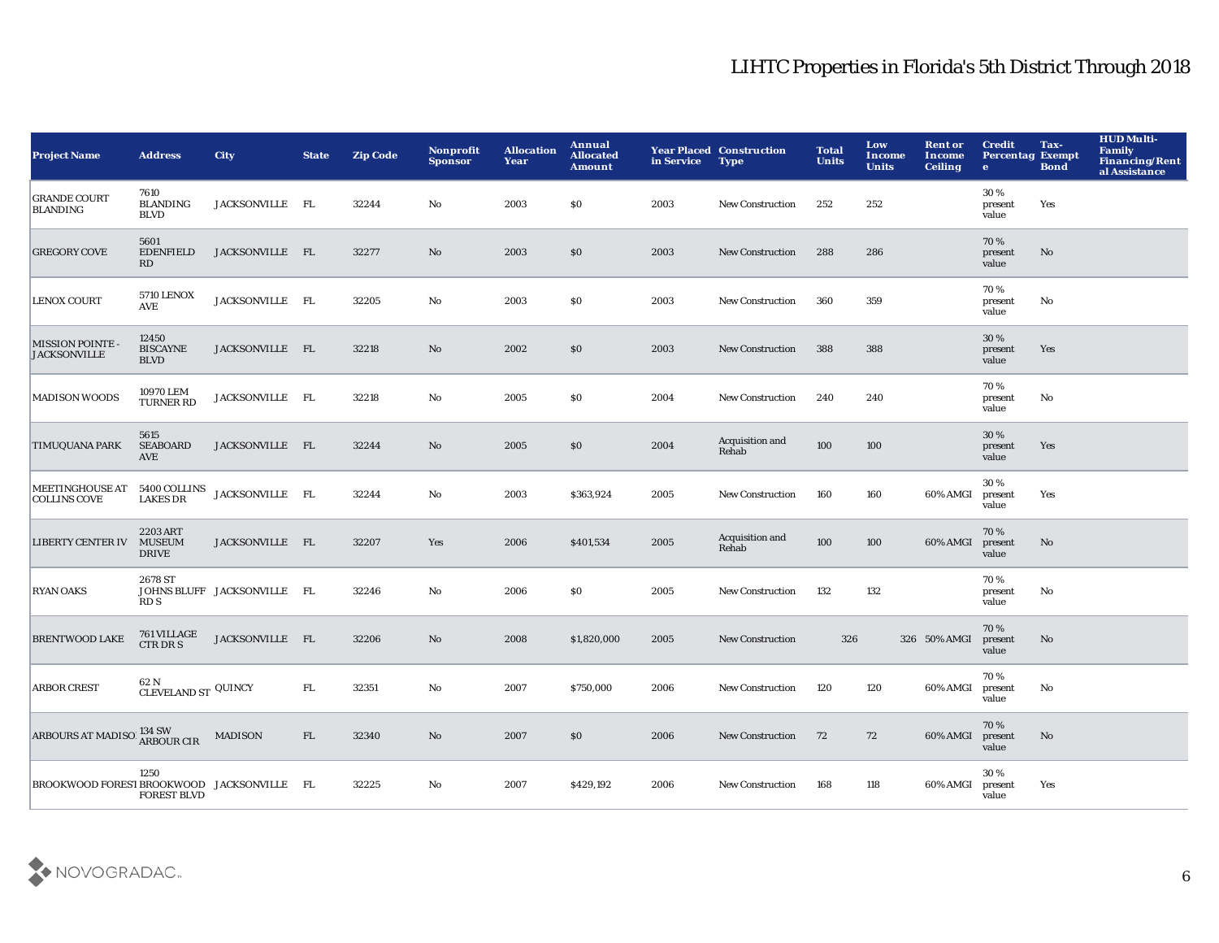| <b>Project Name</b>                                        | <b>Address</b>                          | <b>City</b>                 | <b>State</b> | <b>Zip Code</b> | <b>Nonprofit</b><br><b>Sponsor</b> | <b>Allocation</b><br>Year | Annual<br><b>Allocated</b><br><b>Amount</b> | in Service | <b>Year Placed Construction</b><br><b>Type</b> | <b>Total</b><br><b>Units</b> | Low<br>Income<br><b>Units</b> | <b>Rent or</b><br>Income<br><b>Ceiling</b> | <b>Credit</b><br><b>Percentag Exempt</b><br>$\bullet$ | Tax-<br><b>Bond</b> | <b>HUD Multi-</b><br><b>Family</b><br>Financing/Rent<br>al Assistance |
|------------------------------------------------------------|-----------------------------------------|-----------------------------|--------------|-----------------|------------------------------------|---------------------------|---------------------------------------------|------------|------------------------------------------------|------------------------------|-------------------------------|--------------------------------------------|-------------------------------------------------------|---------------------|-----------------------------------------------------------------------|
| <b>GRANDE COURT</b><br><b>BLANDING</b>                     | 7610<br><b>BLANDING</b><br><b>BLVD</b>  | JACKSONVILLE FL             |              | 32244           | No                                 | 2003                      | \$0                                         | 2003       | New Construction                               | 252                          | 252                           |                                            | 30%<br>present<br>value                               | Yes                 |                                                                       |
| <b>GREGORY COVE</b>                                        | 5601<br><b>EDENFIELD</b><br>RD          | JACKSONVILLE FL             |              | 32277           | No                                 | 2003                      | \$0                                         | 2003       | <b>New Construction</b>                        | 288                          | 286                           |                                            | 70%<br>present<br>value                               | No                  |                                                                       |
| <b>LENOX COURT</b>                                         | <b>5710 LENOX</b><br><b>AVE</b>         | JACKSONVILLE FL             |              | 32205           | $\mathbf{No}$                      | 2003                      | \$0                                         | 2003       | <b>New Construction</b>                        | 360                          | 359                           |                                            | 70%<br>present<br>value                               | No                  |                                                                       |
| <b>MISSION POINTE -</b><br><b>JACKSONVILLE</b>             | 12450<br><b>BISCAYNE</b><br><b>BLVD</b> | JACKSONVILLE FL             |              | 32218           | No                                 | 2002                      | \$0                                         | 2003       | New Construction                               | 388                          | 388                           |                                            | 30 %<br>present<br>value                              | Yes                 |                                                                       |
| <b>MADISON WOODS</b>                                       | 10970 LEM<br><b>TURNER RD</b>           | JACKSONVILLE FL             |              | 32218           | No                                 | 2005                      | \$0                                         | 2004       | New Construction                               | 240                          | 240                           |                                            | 70%<br>present<br>value                               | No                  |                                                                       |
| <b>TIMUQUANA PARK</b>                                      | 5615<br><b>SEABOARD</b><br><b>AVE</b>   | JACKSONVILLE FL             |              | 32244           | No                                 | 2005                      | \$0                                         | 2004       | Acquisition and<br>Rehab                       | 100                          | 100                           |                                            | 30%<br>present<br>value                               | Yes                 |                                                                       |
| MEETINGHOUSE AT 5400 COLLINS<br><b>COLLINS COVE</b>        | <b>LAKES DR</b>                         | JACKSONVILLE FL             |              | 32244           | No                                 | 2003                      | \$363,924                                   | 2005       | <b>New Construction</b>                        | 160                          | 160                           | 60% AMGI                                   | 30 %<br>present<br>value                              | Yes                 |                                                                       |
| LIBERTY CENTER IV MUSEUM                                   | 2203 ART<br><b>DRIVE</b>                | JACKSONVILLE FL             |              | 32207           | Yes                                | 2006                      | \$401,534                                   | 2005       | Acquisition and<br>Rehab                       | 100                          | 100                           | 60% AMGI                                   | 70%<br>present<br>value                               | No                  |                                                                       |
| <b>RYAN OAKS</b>                                           | 2678 ST<br>RD S                         | JOHNS BLUFF JACKSONVILLE FL |              | 32246           | No                                 | 2006                      | \$0                                         | 2005       | New Construction                               | 132                          | 132                           |                                            | 70%<br>present<br>value                               | No                  |                                                                       |
| <b>BRENTWOOD LAKE</b>                                      | 761 VILLAGE<br><b>CTR DR S</b>          | JACKSONVILLE FL             |              | 32206           | No                                 | 2008                      | \$1,820,000                                 | 2005       | New Construction                               | 326                          |                               | 326 50% AMGI                               | 70%<br>present<br>value                               | No                  |                                                                       |
| <b>ARBOR CREST</b>                                         | 62 N<br>CLEVELAND ST QUINCY             |                             | FL.          | 32351           | No                                 | 2007                      | \$750,000                                   | 2006       | <b>New Construction</b>                        | 120                          | 120                           | 60% AMGI                                   | 70%<br>present<br>value                               | No                  |                                                                       |
| ARBOURS AT MADISOL <sup>134</sup> SW <sub>ARBOUR</sub> CIR |                                         | <b>MADISON</b>              | FL           | 32340           | No                                 | 2007                      | \$0                                         | 2006       | <b>New Construction</b>                        | 72                           | 72                            | 60% AMGI                                   | 70%<br>present<br>value                               | No                  |                                                                       |
| BROOKWOOD FOREST BROOKWOOD JACKSONVILLE FL                 | 1250<br><b>FOREST BLVD</b>              |                             |              | 32225           | No                                 | 2007                      | \$429,192                                   | 2006       | <b>New Construction</b>                        | 168                          | 118                           | 60% AMGI                                   | 30%<br>present<br>value                               | Yes                 |                                                                       |